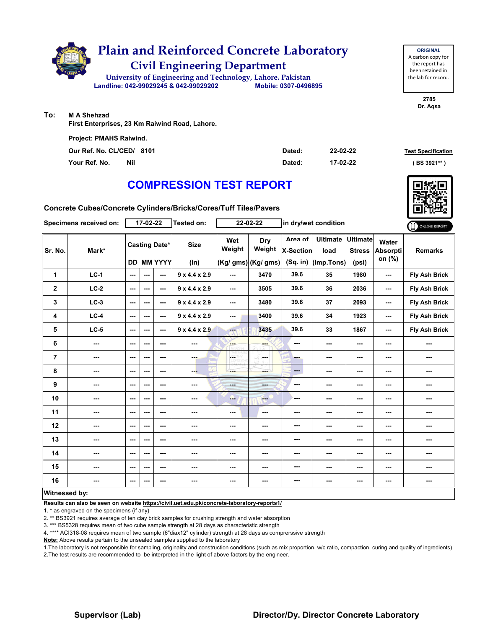

| <b>ORIGINAL</b>     |  |  |  |  |  |  |  |  |  |  |
|---------------------|--|--|--|--|--|--|--|--|--|--|
| A carbon copy for   |  |  |  |  |  |  |  |  |  |  |
| the report has      |  |  |  |  |  |  |  |  |  |  |
| been retained in    |  |  |  |  |  |  |  |  |  |  |
| the lab for record. |  |  |  |  |  |  |  |  |  |  |
|                     |  |  |  |  |  |  |  |  |  |  |

**2785 Dr. Aqsa**

**To: M A Shehzad**

**First Enterprises, 23 Km Raiwind Road, Lahore.**

| <b>Project: PMAHS Raiwind.</b> |     |        |          |                           |
|--------------------------------|-----|--------|----------|---------------------------|
| Our Ref. No. CL/CED/ 8101      |     | Dated: | 22-02-22 | <b>Test Specification</b> |
| Your Ref. No.                  | Nil | Dated: | 17-02-22 | ( BS 3921** )             |

## **COMPRESSION TEST REPORT**

**Concrete Cubes/Concrete Cylinders/Bricks/Cores/Tuff Tiles/Pavers**

|                         | Specimens received on: |        | 17-02-22                 |                      | Tested on:                |                          | $22 - 02 - 22$      |                             | in dry/wet condition    |                                  |                          | ONLINE REPORT        |
|-------------------------|------------------------|--------|--------------------------|----------------------|---------------------------|--------------------------|---------------------|-----------------------------|-------------------------|----------------------------------|--------------------------|----------------------|
| Sr. No.                 | Mark*                  |        |                          | <b>Casting Date*</b> | <b>Size</b>               | Wet<br>Weight            | Dry<br>Weight       | Area of<br><b>X-Section</b> | <b>Ultimate</b><br>load | <b>Ultimate</b><br><b>Stress</b> | Water<br><b>Absorpti</b> | <b>Remarks</b>       |
|                         |                        |        |                          | <b>DD MM YYYY</b>    | (in)                      |                          | (Kg/ gms) (Kg/ gms) | (Sq. in)                    | (Imp.Tons)              | (psi)                            | on (%)                   |                      |
| $\mathbf{1}$            | $LC-1$                 | ---    | $\overline{\phantom{a}}$ | ---                  | $9 \times 4.4 \times 2.9$ | $\qquad \qquad \cdots$   | 3470                | 39.6                        | 35                      | 1980                             | ---                      | Fly Ash Brick        |
| $\boldsymbol{2}$        | $LC-2$                 | $\sim$ | $\sim$ $\sim$            | ---                  | $9 \times 4.4 \times 2.9$ | $\overline{\phantom{a}}$ | 3505                | 39.6                        | 36                      | 2036                             | ---                      | Fly Ash Brick        |
| 3                       | $LC-3$                 | ---    | $- - -$                  | ---                  | $9 \times 4.4 \times 2.9$ | $\sim$ $\sim$            | 3480                | 39.6                        | 37                      | 2093                             | ---                      | <b>Fly Ash Brick</b> |
| 4                       | $LC-4$                 | $\sim$ | $- - -$                  | ---                  | 9x4.4x2.9                 | ---                      | 3400                | 39.6                        | 34                      | 1923                             | ---                      | <b>Fly Ash Brick</b> |
| 5                       | $LC-5$                 | $\sim$ | $- - -$                  | ---                  | $9 \times 4.4 \times 2.9$ | men.                     | 3435                | 39.6                        | 33                      | 1867                             | ---                      | Fly Ash Brick        |
| 6                       | ---                    | ---    | $\sim$ $\sim$            | ---                  | ---                       | <b>START</b>             | ---                 | ---                         | ---                     | $\overline{\phantom{a}}$         | ---                      | ---                  |
| $\overline{\mathbf{r}}$ | ---                    | ---    | $\sim$ $\sim$            | ---                  | ---                       | ΠŴ<br>÷<br><b>FOV.CD</b> | <b>Service</b>      | --                          | ---                     | $\sim$ $\sim$                    | ---                      | ---                  |
| 8                       | ---                    | ---    | ---                      | ---                  | ---                       | ---                      | man a               | $\qquad \qquad \cdots$      | ---                     | $\cdots$                         | ---                      | ---                  |
| 9                       | ---                    | ---    | $--$                     | ---                  | ---                       | <b>Hotel</b>             | ---                 | ---                         | ---                     | $\overline{\phantom{a}}$         | ---                      | ---                  |
| 10                      | ---                    | ---    | $\sim$ $\sim$            | $--$                 | ---                       | ---                      | $-1$                | ---                         | ---                     | $\overline{\phantom{a}}$         | ---                      | ---                  |
| 11                      | ---                    | ---    | ---                      | ---                  | ---                       | $\cdots$                 | ---                 | ---                         | ---                     | $\cdots$                         | ---                      | ---                  |
| 12                      | ---                    | ---    | $- - -$                  | ---                  | ---                       | ---                      | ---                 | ---                         | ---                     | $\overline{\phantom{a}}$         | ---                      | ---                  |
| 13                      | ---                    | ---    | ---                      | ---                  |                           | ---                      | ---                 | ---                         | ---                     | ---                              | ---                      | ---                  |
| 14                      | ---                    | ---    | $- - -$                  | $- - -$              | ---                       | $\sim$ $\sim$            | ---                 | ---                         | ---                     | $- - -$                          | ---                      | ---                  |
| 15                      | ---                    | ---    | ---                      | $--$                 | ---                       | ---                      | ---                 | ---                         | ---                     | $\overline{\phantom{a}}$         | ---                      | ---                  |
| 16                      | ---                    | ---    | $--$                     | ---                  | ---                       | $\cdots$                 | ---                 | ---                         | ---                     | $\qquad \qquad \cdots$           | ---                      | ---                  |
|                         | Witnessed by:          |        |                          |                      |                           |                          |                     |                             |                         |                                  |                          |                      |

#### **Witnessed by:**

**Results can also be seen on website https://civil.uet.edu.pk/concrete-laboratory-reports1/**

1. \* as engraved on the specimens (if any)

2. \*\* BS3921 requires average of ten clay brick samples for crushing strength and water absorption

3. \*\*\* BS5328 requires mean of two cube sample strength at 28 days as characteristic strength

4. \*\*\*\* ACI318-08 requires mean of two sample (6"diax12" cylinder) strength at 28 days as comprerssive strength

**Note:** Above results pertain to the unsealed samples supplied to the laboratory

1.The laboratory is not responsible for sampling, originality and construction conditions (such as mix proportion, w/c ratio, compaction, curing and quality of ingredients) 2.The test results are recommended to be interpreted in the light of above factors by the engineer.

### **Supervisor (Lab) Director/Dy. Director Concrete Laboratory**

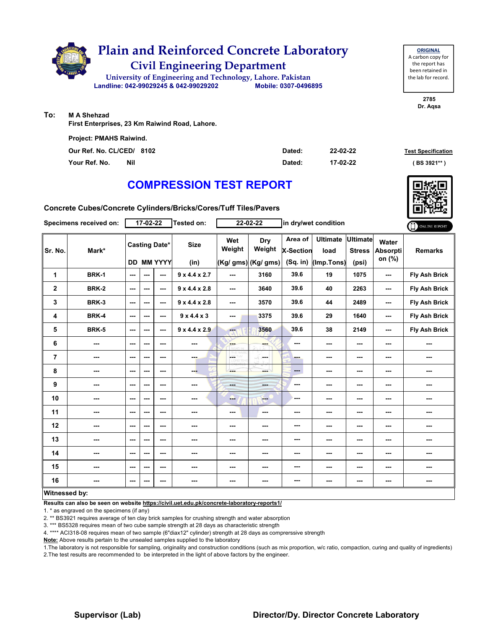

| <b>ORIGINAL</b>     |
|---------------------|
| A carbon copy for   |
| the report has      |
| been retained in    |
| the lab for record. |
|                     |

**2785 Dr. Aqsa**

**To: M A Shehzad**

**First Enterprises, 23 Km Raiwind Road, Lahore.**

| <b>Project: PMAHS Raiwind.</b> |     |        |          |                           |
|--------------------------------|-----|--------|----------|---------------------------|
| Our Ref. No. CL/CED/ 8102      |     | Dated: | 22-02-22 | <b>Test Specification</b> |
| Your Ref. No.                  | Nil | Dated: | 17-02-22 | (BS 3921**)               |

## **COMPRESSION TEST REPORT**

**Concrete Cubes/Concrete Cylinders/Bricks/Cores/Tuff Tiles/Pavers**

|                | Specimens received on: |        | $17 - 02 - 22$           |                                        | Tested on:                |                          | 22-02-22                             |                                         | in dry/wet condition                  |                                           |                             | ONLINE REPORT        |
|----------------|------------------------|--------|--------------------------|----------------------------------------|---------------------------|--------------------------|--------------------------------------|-----------------------------------------|---------------------------------------|-------------------------------------------|-----------------------------|----------------------|
| Sr. No.        | Mark*                  | DD     |                          | <b>Casting Date*</b><br><b>MM YYYY</b> | <b>Size</b><br>(in)       | Wet<br>Weight            | Dry<br>Weight<br>(Kg/ gms) (Kg/ gms) | Area of<br><b>X-Section</b><br>(Sq. in) | <b>Ultimate</b><br>load<br>(Imp.Tons) | <b>Ultimate</b><br><b>Stress</b><br>(psi) | Water<br>Absorpti<br>on (%) | <b>Remarks</b>       |
| 1              | <b>BRK-1</b>           | ---    | $\overline{\phantom{a}}$ | ---                                    | $9 \times 4.4 \times 2.7$ | $\sim$ $\sim$            | 3160                                 | 39.6                                    | 19                                    | 1075                                      | ---                         | Fly Ash Brick        |
| $\mathbf{2}$   | <b>BRK-2</b>           | ---    | $\sim$ $\sim$            | ---                                    | $9 \times 4.4 \times 2.8$ | $\overline{\phantom{a}}$ | 3640                                 | 39.6                                    | 40                                    | 2263                                      | ---                         | <b>Fly Ash Brick</b> |
| 3              | <b>BRK-3</b>           | $\sim$ | $- - -$                  | $- - -$                                | $9 \times 4.4 \times 2.8$ | $\sim$ $\sim$            | 3570                                 | 39.6                                    | 44                                    | 2489                                      | ---                         | <b>Fly Ash Brick</b> |
| 4              | <b>BRK-4</b>           | ---    | ---                      | ---                                    | 9x4.4x3                   | ---                      | 3375                                 | 39.6                                    | 29                                    | 1640                                      | ---                         | <b>Fly Ash Brick</b> |
| 5              | <b>BRK-5</b>           | ---    | $\overline{\phantom{a}}$ | ---                                    | $9 \times 4.4 \times 2.9$ | ---                      | 3560                                 | 39.6                                    | 38                                    | 2149                                      | ---                         | <b>Fly Ash Brick</b> |
| 6              | ---                    | ---    | $\sim$                   | ---                                    | ---                       | ---                      | ---                                  | ---                                     | ---                                   | $\sim$ $\sim$                             | ---                         | ---                  |
| $\overline{7}$ | ---                    | ---    | $- - -$                  | ---                                    | ---                       | <b>CETHY</b>             | and a                                | --                                      | ---                                   | $\overline{\phantom{a}}$                  | ---                         | ---                  |
| 8              | ---                    | ---    | $\overline{\phantom{a}}$ | ---                                    | ---                       | $--$                     | ---                                  | ---                                     | $--$                                  | $\sim$ $\sim$                             | ---                         | ---                  |
| 9              | ---                    | ---    | $\sim$ $\sim$            | ---                                    | ---                       | <b>House</b>             | ---                                  | ---                                     | ---                                   | $\overline{\phantom{a}}$                  | ---                         | ---                  |
| 10             | ---                    | ---    | $\sim$ $\sim$            | ---                                    | ---                       | ---                      | $-$                                  | ---                                     | ---                                   | $\sim$                                    | ---                         | ---                  |
| 11             | ---                    | ---    | $- - -$                  | ---                                    | ---                       | $\sim$                   | ---                                  | ---                                     | ---                                   | $\sim$                                    | ---                         | ---                  |
| 12             | ---                    | ---    | $\sim$ $\sim$            | $--$                                   | ---                       | ---                      | ---                                  | ---                                     | ---                                   | ---                                       | ---                         | ---                  |
| 13             | ---                    | ---    | $- - -$                  | ---                                    | ---                       | $\sim$ $\sim$            | ---                                  | ---                                     | ---                                   | $\sim$ $\sim$                             | ---                         | ---                  |
| 14             | ---                    | ---    | $\overline{\phantom{a}}$ | $--$                                   | ---                       | $\overline{\phantom{a}}$ | ---                                  | ---                                     | ---                                   | $\overline{\phantom{a}}$                  | ---                         | ---                  |
| 15             | ---                    | ---    | ---                      | $--$                                   | ---                       | ---                      | ---                                  | ---                                     | ---                                   | $\cdots$                                  | ---                         | ---                  |
| 16             | ---                    | ---    | ---                      | ---                                    | ---                       | ---                      | ---                                  | ---                                     | ---                                   | $\sim$                                    | ---                         | ---                  |
| Witnessed by:  |                        |        |                          |                                        |                           |                          |                                      |                                         |                                       |                                           |                             |                      |

**Results can also be seen on website https://civil.uet.edu.pk/concrete-laboratory-reports1/**

1. \* as engraved on the specimens (if any)

2. \*\* BS3921 requires average of ten clay brick samples for crushing strength and water absorption

3. \*\*\* BS5328 requires mean of two cube sample strength at 28 days as characteristic strength

4. \*\*\*\* ACI318-08 requires mean of two sample (6"diax12" cylinder) strength at 28 days as comprerssive strength

**Note:** Above results pertain to the unsealed samples supplied to the laboratory

1.The laboratory is not responsible for sampling, originality and construction conditions (such as mix proportion, w/c ratio, compaction, curing and quality of ingredients) 2.The test results are recommended to be interpreted in the light of above factors by the engineer.

### **Supervisor (Lab) Director/Dy. Director Concrete Laboratory**

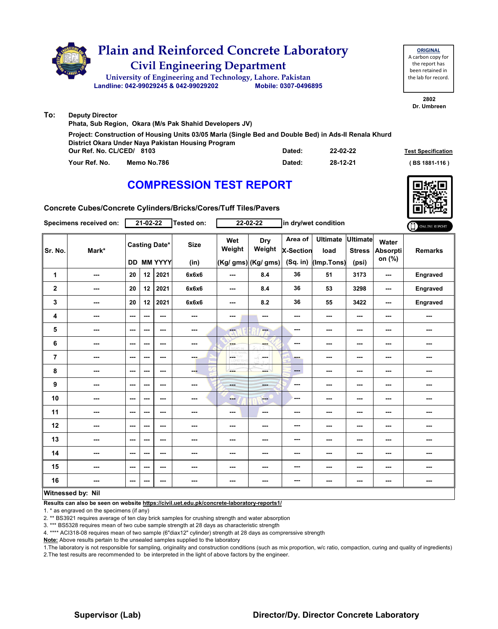

|               | $\cdots$                                                                                                                                                                                                          |        |                           |               |
|---------------|-------------------------------------------------------------------------------------------------------------------------------------------------------------------------------------------------------------------|--------|---------------------------|---------------|
|               |                                                                                                                                                                                                                   |        |                           |               |
|               | Project: Construction of Housing Units 03/05 Marla (Single Bed and Double Bed) in Ads-II Renala Khurd<br>District Okara Under Naya Pakistan Housing Program<br>Our Ref. No. CL/CED/<br>22-02-22<br>Dated:<br>8103 |        | <b>Test Specification</b> |               |
| Your Ref. No. | Memo No.786                                                                                                                                                                                                       | Dated: | 28-12-21                  | (BS 1881-116) |

# **COMPRESSION TEST REPORT**



**2802 Dr. Umbreen**

**ORIGINAL**

the report has

**Concrete Cubes/Concrete Cylinders/Bricks/Cores/Tuff Tiles/Pavers**

|                | Specimens received on:   |                          | $21 - 02 - 22$ |                                           | Tested on:          |                               | 22-02-22                             | in dry/wet condition                      |                                       |                                           | ONLINE REPORT               |                |
|----------------|--------------------------|--------------------------|----------------|-------------------------------------------|---------------------|-------------------------------|--------------------------------------|-------------------------------------------|---------------------------------------|-------------------------------------------|-----------------------------|----------------|
| Sr. No.        | Mark*                    |                          |                | <b>Casting Date*</b><br><b>DD MM YYYY</b> | <b>Size</b><br>(in) | Wet<br>Weight                 | Dry<br>Weight<br>(Kg/ gms) (Kg/ gms) | Area of<br><b>X-Section</b><br>$(Sq.$ in) | <b>Ultimate</b><br>load<br>(Imp.Tons) | <b>Ultimate</b><br><b>Stress</b><br>(psi) | Water<br>Absorpti<br>on (%) | <b>Remarks</b> |
| 1              | $\overline{\phantom{a}}$ | 20                       | 12             | 2021                                      | 6x6x6               | ---                           | 8.4                                  | 36                                        | 51                                    | 3173                                      | ---                         | Engraved       |
| $\overline{2}$ | $\overline{\phantom{a}}$ | 20                       | 12             | 2021                                      | 6x6x6               | $--$                          | 8.4                                  | 36                                        | 53                                    | 3298                                      | $\sim$                      | Engraved       |
| 3              | $\overline{\phantom{a}}$ | 20                       | 12             | 2021                                      | 6x6x6               | ---                           | 8.2                                  | 36                                        | 55                                    | 3422                                      | $\overline{\phantom{a}}$    | Engraved       |
| 4              | $\overline{\phantom{a}}$ | $\overline{\phantom{a}}$ | ---            | ---                                       | $\sim$              | ---                           | ---                                  | ---                                       | ---                                   | ---                                       | ---                         | ---            |
| 5              | $\cdots$                 | $\sim$                   | ---            | ---                                       | ---                 | $-1$                          | ---                                  | ---                                       | ---                                   | $--$                                      | ---                         |                |
| 6              | ---                      | ---                      | ---            | ---                                       | $\sim$              | <b>Albert</b>                 | ---                                  | ---                                       | ---                                   | ---                                       | ---                         | ---            |
| $\overline{7}$ | $\overline{\phantom{a}}$ | $\overline{\phantom{a}}$ | ---            | $--$                                      | ---                 | ---<br>HY.<br><b>LORD WHI</b> | -F<br>in med                         | ---                                       | ---                                   | ---                                       | ---                         | ---            |
| 8              | $\cdots$                 | $\cdots$                 | ---            | ---                                       | ---                 | ---                           | <b>SHOP</b>                          | $\qquad \qquad \cdots$                    | ---                                   | $\cdots$                                  | ---                         | ---            |
| 9              | $\overline{\phantom{a}}$ | $--$                     | ---            | $--$                                      | $\sim$              | ---                           | ---                                  | ---                                       | ---                                   | ---                                       | ---                         |                |
| 10             | ---                      | $\overline{\phantom{a}}$ | ---            | ---                                       | ---                 | ---                           | <b>Fee</b>                           | ---                                       | ---                                   | ---                                       | ---                         | ---            |
| 11             | $\overline{\phantom{a}}$ | $\overline{\phantom{a}}$ | ---            | $--$                                      | ---                 | $--$                          | ---                                  | ---                                       | ---                                   | $--$                                      | ---                         |                |
| 12             | $\cdots$                 | ---                      | ---            | ---                                       | ---                 | ---                           | ---                                  | ---                                       | ---                                   | ---                                       | ---                         | ---            |
| 13             | ---                      | $\overline{\phantom{a}}$ | ---            | $--$                                      | ---                 | ---                           | ---                                  | ---                                       | ---                                   | ---                                       | ---                         | ---            |
| 14             | $\sim$                   | $\overline{\phantom{a}}$ | ---            | $--$                                      | $\sim$              | ---                           | ---                                  | ---                                       | ---                                   | $\sim$ $\sim$                             | $\overline{\phantom{a}}$    | ---            |
| 15             | $\overline{\phantom{a}}$ | $\cdots$                 | ---            | ---                                       | $\sim$              | ---                           | ---                                  | ---                                       | ---                                   | ---                                       | ---                         | ---            |
| 16             | $\overline{\phantom{a}}$ | $\overline{\phantom{a}}$ | ---            | ---                                       | ---                 | ---                           | ---                                  | ---                                       | ---                                   | ---                                       | ---                         |                |
|                | Witnessed by: Nil        |                          |                |                                           |                     |                               |                                      |                                           |                                       |                                           |                             |                |

### **Witnessed by: Nil**

**Results can also be seen on website https://civil.uet.edu.pk/concrete-laboratory-reports1/**

1. \* as engraved on the specimens (if any)

2. \*\* BS3921 requires average of ten clay brick samples for crushing strength and water absorption

3. \*\*\* BS5328 requires mean of two cube sample strength at 28 days as characteristic strength

4. \*\*\*\* ACI318-08 requires mean of two sample (6"diax12" cylinder) strength at 28 days as comprerssive strength

**Note:** Above results pertain to the unsealed samples supplied to the laboratory

1.The laboratory is not responsible for sampling, originality and construction conditions (such as mix proportion, w/c ratio, compaction, curing and quality of ingredients) 2.The test results are recommended to be interpreted in the light of above factors by the engineer.